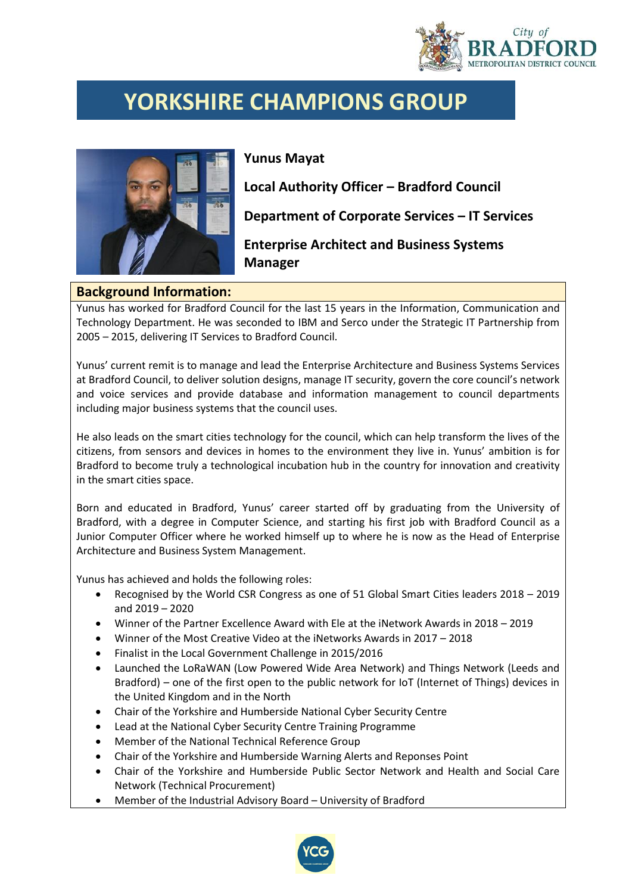

## **YORKSHIRE CHAMPIONS GROUP**



**Yunus Mayat**

**Local Authority Officer – Bradford Council**

**Department of Corporate Services – IT Services**

**Enterprise Architect and Business Systems Manager**

## **Background Information:**

Yunus has worked for Bradford Council for the last 15 years in the Information, Communication and Technology Department. He was seconded to IBM and Serco under the Strategic IT Partnership from 2005 – 2015, delivering IT Services to Bradford Council.

Yunus' current remit is to manage and lead the Enterprise Architecture and Business Systems Services at Bradford Council, to deliver solution designs, manage IT security, govern the core council's network and voice services and provide database and information management to council departments including major business systems that the council uses.

He also leads on the smart cities technology for the council, which can help transform the lives of the citizens, from sensors and devices in homes to the environment they live in. Yunus' ambition is for Bradford to become truly a technological incubation hub in the country for innovation and creativity in the smart cities space.

Born and educated in Bradford, Yunus' career started off by graduating from the University of Bradford, with a degree in Computer Science, and starting his first job with Bradford Council as a Junior Computer Officer where he worked himself up to where he is now as the Head of Enterprise Architecture and Business System Management.

Yunus has achieved and holds the following roles:

- Recognised by the World CSR Congress as one of 51 Global Smart Cities leaders 2018 2019 and 2019 – 2020
- Winner of the Partner Excellence Award with Ele at the iNetwork Awards in 2018 2019
- Winner of the Most Creative Video at the iNetworks Awards in 2017 2018
- Finalist in the Local Government Challenge in 2015/2016
- Launched the LoRaWAN (Low Powered Wide Area Network) and Things Network (Leeds and Bradford) – one of the first open to the public network for IoT (Internet of Things) devices in the United Kingdom and in the North
- Chair of the Yorkshire and Humberside National Cyber Security Centre
- Lead at the National Cyber Security Centre Training Programme
- Member of the National Technical Reference Group
- Chair of the Yorkshire and Humberside Warning Alerts and Reponses Point
- Chair of the Yorkshire and Humberside Public Sector Network and Health and Social Care Network (Technical Procurement)
- Member of the Industrial Advisory Board University of Bradford